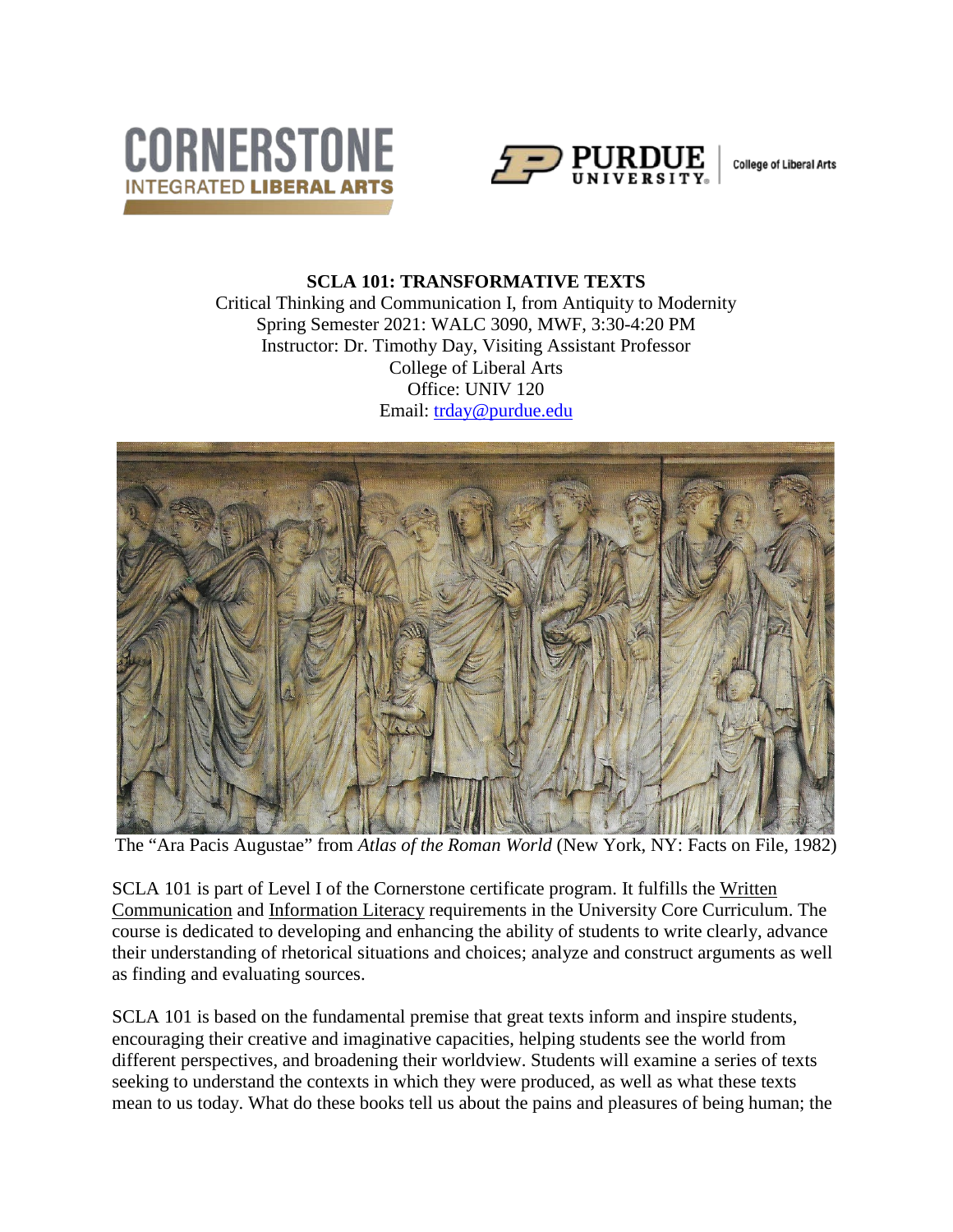



**College of Liberal Arts** 

### **SCLA 101: TRANSFORMATIVE TEXTS** Critical Thinking and Communication I, from Antiquity to Modernity Spring Semester 2021: WALC 3090, MWF, 3:30-4:20 PM Instructor: Dr. Timothy Day, Visiting Assistant Professor College of Liberal Arts Office: UNIV 120 Email: [trday@purdue.edu](mailto:trday@purdue.edu)



The "Ara Pacis Augustae" from *Atlas of the Roman World* (New York, NY: Facts on File, 1982)

SCLA 101 is part of Level I of the Cornerstone certificate program. It fulfills the Written Communication and Information Literacy requirements in the University Core Curriculum. The course is dedicated to developing and enhancing the ability of students to write clearly, advance their understanding of rhetorical situations and choices; analyze and construct arguments as well as finding and evaluating sources.

SCLA 101 is based on the fundamental premise that great texts inform and inspire students, encouraging their creative and imaginative capacities, helping students see the world from different perspectives, and broadening their worldview. Students will examine a series of texts seeking to understand the contexts in which they were produced, as well as what these texts mean to us today. What do these books tell us about the pains and pleasures of being human; the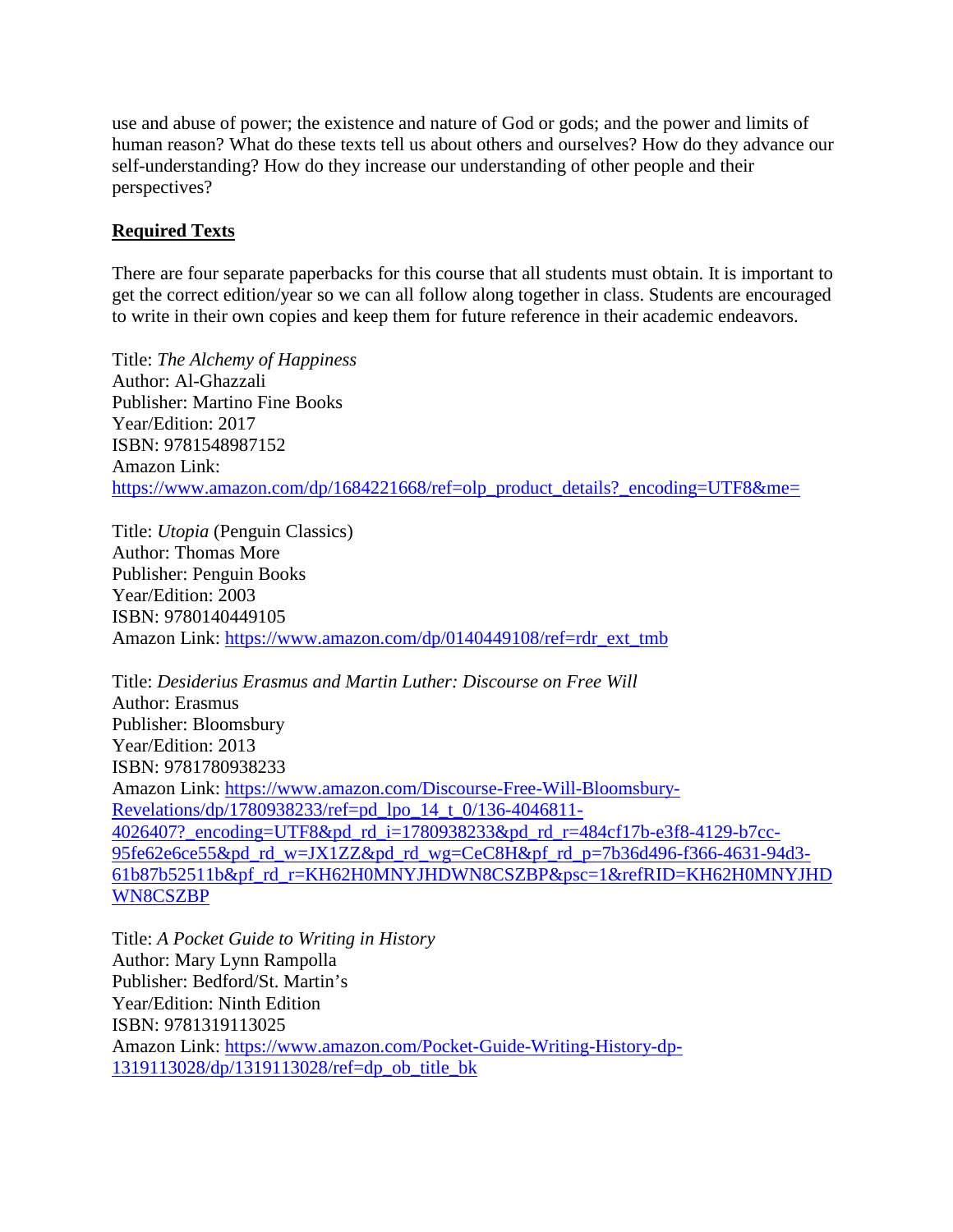use and abuse of power; the existence and nature of God or gods; and the power and limits of human reason? What do these texts tell us about others and ourselves? How do they advance our self-understanding? How do they increase our understanding of other people and their perspectives?

## **Required Texts**

There are four separate paperbacks for this course that all students must obtain. It is important to get the correct edition/year so we can all follow along together in class. Students are encouraged to write in their own copies and keep them for future reference in their academic endeavors.

Title: *The Alchemy of Happiness* Author: Al-Ghazzali Publisher: Martino Fine Books Year/Edition: 2017 ISBN: 9781548987152 Amazon Link: [https://www.amazon.com/dp/1684221668/ref=olp\\_product\\_details?\\_encoding=UTF8&me=](https://www.amazon.com/dp/1684221668/ref=olp_product_details?_encoding=UTF8&me=)

Title: *Utopia* (Penguin Classics) Author: Thomas More Publisher: Penguin Books Year/Edition: 2003 ISBN: 9780140449105 Amazon Link: [https://www.amazon.com/dp/0140449108/ref=rdr\\_ext\\_tmb](https://www.amazon.com/dp/0140449108/ref=rdr_ext_tmb)

Title: *Desiderius Erasmus and Martin Luther: Discourse on Free Will* Author: Erasmus Publisher: Bloomsbury Year/Edition: 2013 ISBN: 9781780938233 Amazon Link: [https://www.amazon.com/Discourse-Free-Will-Bloomsbury-](https://www.amazon.com/Discourse-Free-Will-Bloomsbury-Revelations/dp/1780938233/ref=pd_lpo_14_t_0/136-4046811-4026407?_encoding=UTF8&pd_rd_i=1780938233&pd_rd_r=484cf17b-e3f8-4129-b7cc-95fe62e6ce55&pd_rd_w=JX1ZZ&pd_rd_wg=CeC8H&pf_rd_p=7b36d496-f366-4631-94d3-61b87b52511b&pf_rd_r=KH62H0MNYJHDWN8CSZBP&psc=1&refRID=KH62H0MNYJHDWN8CSZBP)[Revelations/dp/1780938233/ref=pd\\_lpo\\_14\\_t\\_0/136-4046811-](https://www.amazon.com/Discourse-Free-Will-Bloomsbury-Revelations/dp/1780938233/ref=pd_lpo_14_t_0/136-4046811-4026407?_encoding=UTF8&pd_rd_i=1780938233&pd_rd_r=484cf17b-e3f8-4129-b7cc-95fe62e6ce55&pd_rd_w=JX1ZZ&pd_rd_wg=CeC8H&pf_rd_p=7b36d496-f366-4631-94d3-61b87b52511b&pf_rd_r=KH62H0MNYJHDWN8CSZBP&psc=1&refRID=KH62H0MNYJHDWN8CSZBP) 4026407? encoding=UTF8&pd\_rd\_i=1780938233&pd\_rd\_r=484cf17b-e3f8-4129-b7cc-[95fe62e6ce55&pd\\_rd\\_w=JX1ZZ&pd\\_rd\\_wg=CeC8H&pf\\_rd\\_p=7b36d496-f366-4631-94d3-](https://www.amazon.com/Discourse-Free-Will-Bloomsbury-Revelations/dp/1780938233/ref=pd_lpo_14_t_0/136-4046811-4026407?_encoding=UTF8&pd_rd_i=1780938233&pd_rd_r=484cf17b-e3f8-4129-b7cc-95fe62e6ce55&pd_rd_w=JX1ZZ&pd_rd_wg=CeC8H&pf_rd_p=7b36d496-f366-4631-94d3-61b87b52511b&pf_rd_r=KH62H0MNYJHDWN8CSZBP&psc=1&refRID=KH62H0MNYJHDWN8CSZBP) [61b87b52511b&pf\\_rd\\_r=KH62H0MNYJHDWN8CSZBP&psc=1&refRID=KH62H0MNYJHD](https://www.amazon.com/Discourse-Free-Will-Bloomsbury-Revelations/dp/1780938233/ref=pd_lpo_14_t_0/136-4046811-4026407?_encoding=UTF8&pd_rd_i=1780938233&pd_rd_r=484cf17b-e3f8-4129-b7cc-95fe62e6ce55&pd_rd_w=JX1ZZ&pd_rd_wg=CeC8H&pf_rd_p=7b36d496-f366-4631-94d3-61b87b52511b&pf_rd_r=KH62H0MNYJHDWN8CSZBP&psc=1&refRID=KH62H0MNYJHDWN8CSZBP) [WN8CSZBP](https://www.amazon.com/Discourse-Free-Will-Bloomsbury-Revelations/dp/1780938233/ref=pd_lpo_14_t_0/136-4046811-4026407?_encoding=UTF8&pd_rd_i=1780938233&pd_rd_r=484cf17b-e3f8-4129-b7cc-95fe62e6ce55&pd_rd_w=JX1ZZ&pd_rd_wg=CeC8H&pf_rd_p=7b36d496-f366-4631-94d3-61b87b52511b&pf_rd_r=KH62H0MNYJHDWN8CSZBP&psc=1&refRID=KH62H0MNYJHDWN8CSZBP)

Title: *A Pocket Guide to Writing in History* Author: Mary Lynn Rampolla Publisher: Bedford/St. Martin's Year/Edition: Ninth Edition ISBN: 9781319113025 Amazon Link: [https://www.amazon.com/Pocket-Guide-Writing-History-dp-](https://www.amazon.com/Pocket-Guide-Writing-History-dp-1319113028/dp/1319113028/ref=dp_ob_title_bk)[1319113028/dp/1319113028/ref=dp\\_ob\\_title\\_bk](https://www.amazon.com/Pocket-Guide-Writing-History-dp-1319113028/dp/1319113028/ref=dp_ob_title_bk)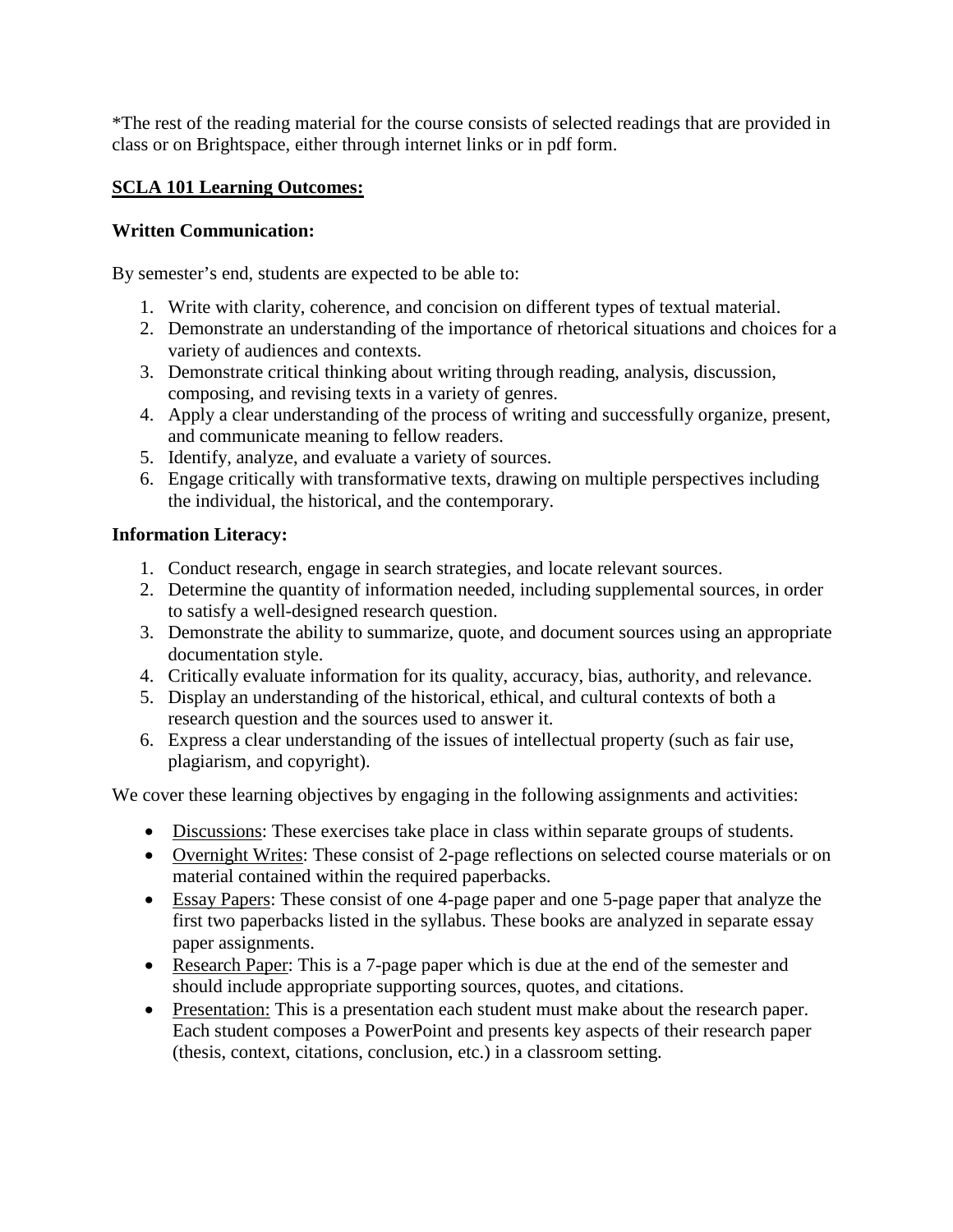\*The rest of the reading material for the course consists of selected readings that are provided in class or on Brightspace, either through internet links or in pdf form.

## **SCLA 101 Learning Outcomes:**

## **Written Communication:**

By semester's end, students are expected to be able to:

- 1. Write with clarity, coherence, and concision on different types of textual material.
- 2. Demonstrate an understanding of the importance of rhetorical situations and choices for a variety of audiences and contexts.
- 3. Demonstrate critical thinking about writing through reading, analysis, discussion, composing, and revising texts in a variety of genres.
- 4. Apply a clear understanding of the process of writing and successfully organize, present, and communicate meaning to fellow readers.
- 5. Identify, analyze, and evaluate a variety of sources.
- 6. Engage critically with transformative texts, drawing on multiple perspectives including the individual, the historical, and the contemporary.

## **Information Literacy:**

- 1. Conduct research, engage in search strategies, and locate relevant sources.
- 2. Determine the quantity of information needed, including supplemental sources, in order to satisfy a well-designed research question.
- 3. Demonstrate the ability to summarize, quote, and document sources using an appropriate documentation style.
- 4. Critically evaluate information for its quality, accuracy, bias, authority, and relevance.
- 5. Display an understanding of the historical, ethical, and cultural contexts of both a research question and the sources used to answer it.
- 6. Express a clear understanding of the issues of intellectual property (such as fair use, plagiarism, and copyright).

We cover these learning objectives by engaging in the following assignments and activities:

- Discussions: These exercises take place in class within separate groups of students.
- Overnight Writes: These consist of 2-page reflections on selected course materials or on material contained within the required paperbacks.
- Essay Papers: These consist of one 4-page paper and one 5-page paper that analyze the first two paperbacks listed in the syllabus. These books are analyzed in separate essay paper assignments.
- Research Paper: This is a 7-page paper which is due at the end of the semester and should include appropriate supporting sources, quotes, and citations.
- Presentation: This is a presentation each student must make about the research paper. Each student composes a PowerPoint and presents key aspects of their research paper (thesis, context, citations, conclusion, etc.) in a classroom setting.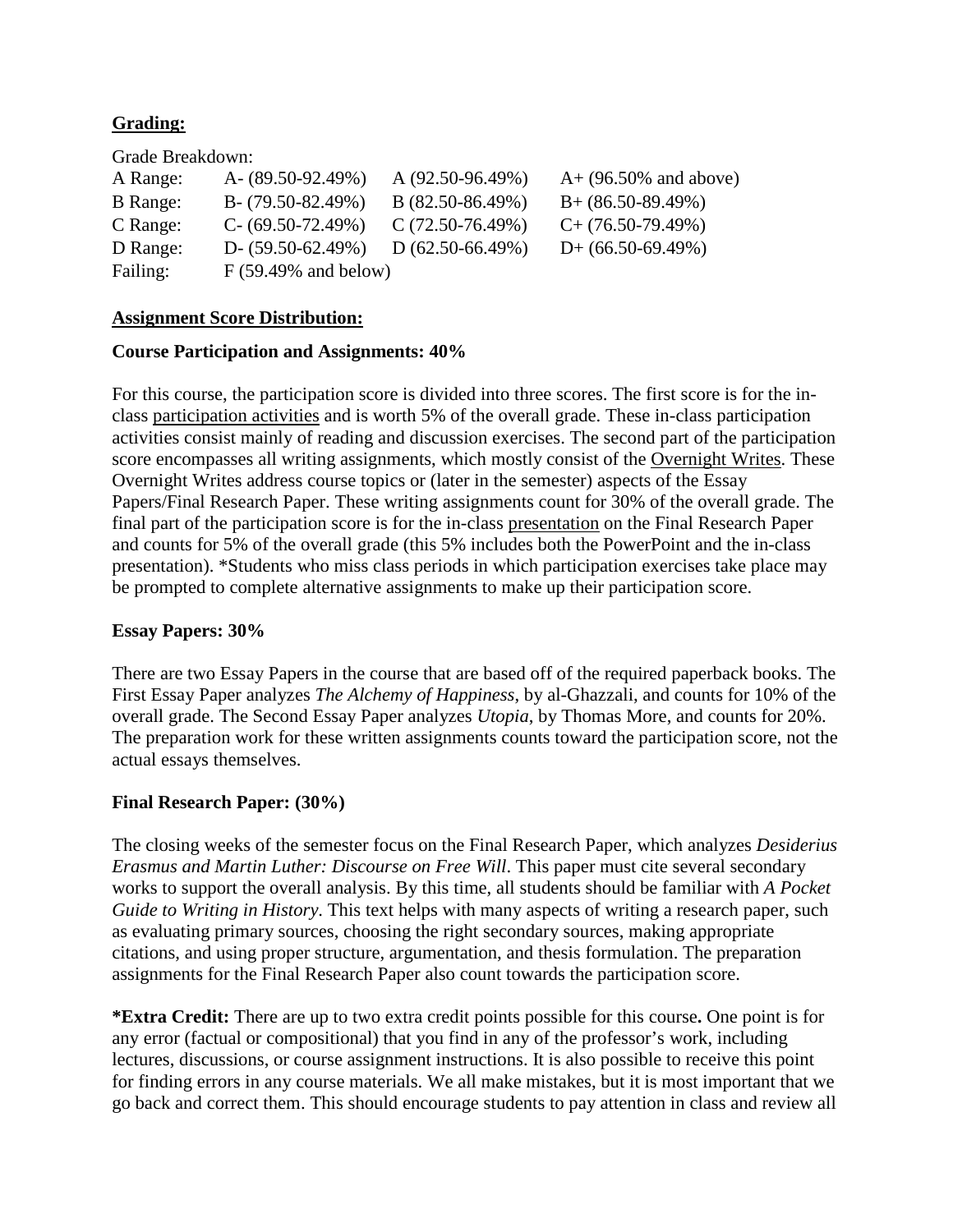## **Grading:**

Grade Breakdown:

| A Range:        | A- $(89.50-92.49%)$    | $A(92.50-96.49%)$ | $A+ (96.50\%$ and above) |
|-----------------|------------------------|-------------------|--------------------------|
| <b>B</b> Range: | $B - (79.50 - 82.49%)$ | $B(82.50-86.49%)$ | $B+ (86.50-89.49\%)$     |
| C Range:        | $C - (69.50 - 72.49%)$ | $C(72.50-76.49%)$ | $C+$ (76.50-79.49%)      |
| D Range:        | $D - (59.50 - 62.49%)$ | $D(62.50-66.49%)$ | $D+$ (66.50-69.49%)      |
| Failing:        | $F(59.49\%$ and below) |                   |                          |

#### **Assignment Score Distribution:**

#### **Course Participation and Assignments: 40%**

For this course, the participation score is divided into three scores. The first score is for the inclass participation activities and is worth 5% of the overall grade. These in-class participation activities consist mainly of reading and discussion exercises. The second part of the participation score encompasses all writing assignments, which mostly consist of the Overnight Writes. These Overnight Writes address course topics or (later in the semester) aspects of the Essay Papers/Final Research Paper. These writing assignments count for 30% of the overall grade. The final part of the participation score is for the in-class presentation on the Final Research Paper and counts for 5% of the overall grade (this 5% includes both the PowerPoint and the in-class presentation). \*Students who miss class periods in which participation exercises take place may be prompted to complete alternative assignments to make up their participation score.

### **Essay Papers: 30%**

There are two Essay Papers in the course that are based off of the required paperback books. The First Essay Paper analyzes *The Alchemy of Happiness*, by al-Ghazzali, and counts for 10% of the overall grade. The Second Essay Paper analyzes *Utopia*, by Thomas More, and counts for 20%. The preparation work for these written assignments counts toward the participation score, not the actual essays themselves.

### **Final Research Paper: (30%)**

The closing weeks of the semester focus on the Final Research Paper, which analyzes *Desiderius Erasmus and Martin Luther: Discourse on Free Will*. This paper must cite several secondary works to support the overall analysis. By this time, all students should be familiar with *A Pocket Guide to Writing in History*. This text helps with many aspects of writing a research paper, such as evaluating primary sources, choosing the right secondary sources, making appropriate citations, and using proper structure, argumentation, and thesis formulation. The preparation assignments for the Final Research Paper also count towards the participation score.

**\*Extra Credit:** There are up to two extra credit points possible for this course**.** One point is for any error (factual or compositional) that you find in any of the professor's work, including lectures, discussions, or course assignment instructions. It is also possible to receive this point for finding errors in any course materials. We all make mistakes, but it is most important that we go back and correct them. This should encourage students to pay attention in class and review all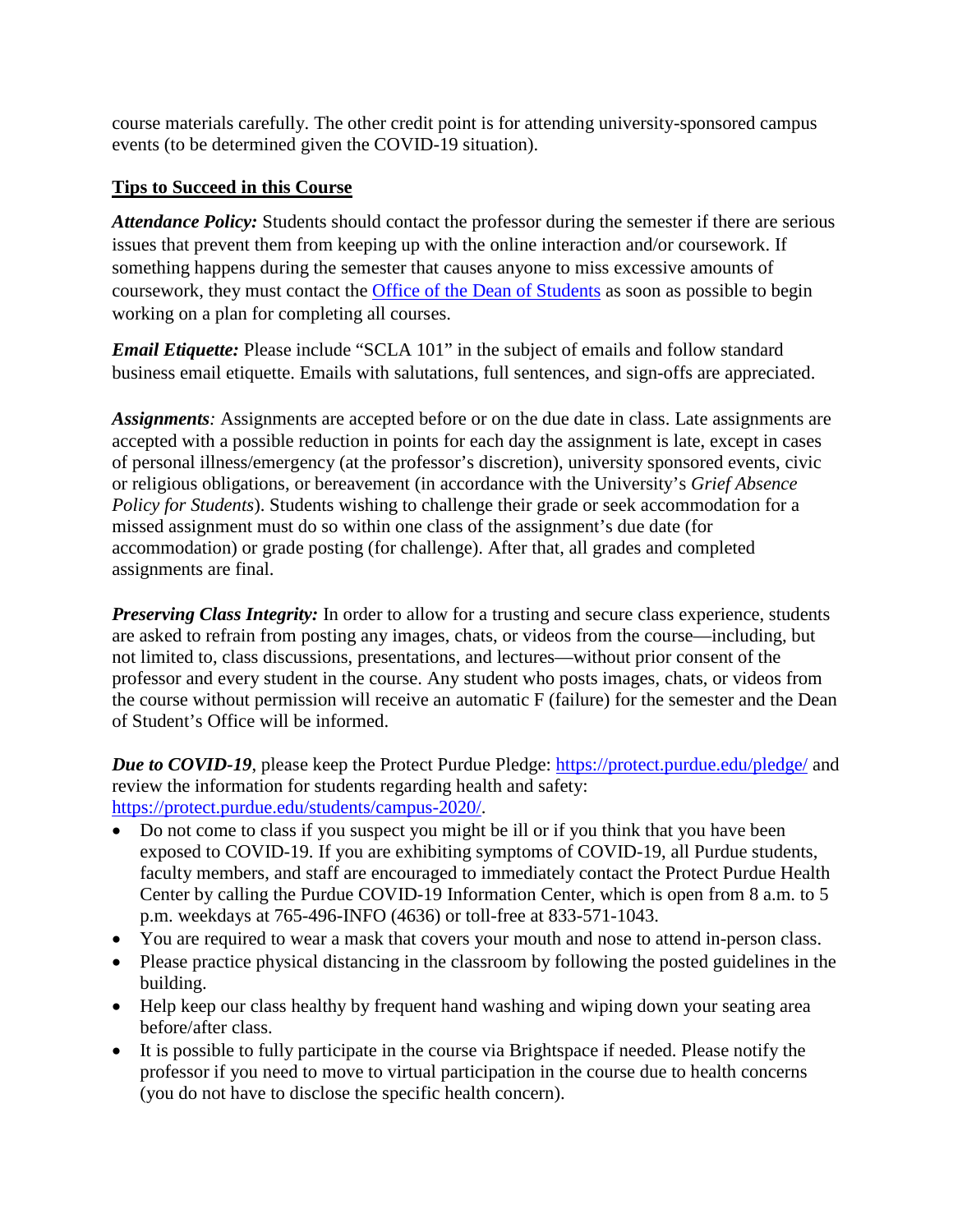course materials carefully. The other credit point is for attending university-sponsored campus events (to be determined given the COVID-19 situation).

# **Tips to Succeed in this Course**

*Attendance Policy:* Students should contact the professor during the semester if there are serious issues that prevent them from keeping up with the online interaction and/or coursework. If something happens during the semester that causes anyone to miss excessive amounts of coursework, they must contact the [Office of the Dean of Students](https://www.purdue.edu/studentregulations/regulations_procedures/classes.html) as soon as possible to begin working on a plan for completing all courses.

*Email Etiquette:* Please include "SCLA 101" in the subject of emails and follow standard business email etiquette. Emails with salutations, full sentences, and sign-offs are appreciated.

*Assignments:* Assignments are accepted before or on the due date in class. Late assignments are accepted with a possible reduction in points for each day the assignment is late, except in cases of personal illness/emergency (at the professor's discretion), university sponsored events, civic or religious obligations, or bereavement (in accordance with the University's *Grief Absence Policy for Students*). Students wishing to challenge their grade or seek accommodation for a missed assignment must do so within one class of the assignment's due date (for accommodation) or grade posting (for challenge). After that, all grades and completed assignments are final.

*Preserving Class Integrity:* In order to allow for a trusting and secure class experience, students are asked to refrain from posting any images, chats, or videos from the course—including, but not limited to, class discussions, presentations, and lectures—without prior consent of the professor and every student in the course. Any student who posts images, chats, or videos from the course without permission will receive an automatic F (failure) for the semester and the Dean of Student's Office will be informed.

*Due to COVID-19*, please keep the Protect Purdue Pledge: <https://protect.purdue.edu/pledge/> and review the information for students regarding health and safety: [https://protect.purdue.edu/students/campus-2020/.](https://protect.purdue.edu/students/campus-2020/)

- Do not come to class if you suspect you might be ill or if you think that you have been exposed to COVID-19. If you are exhibiting symptoms of COVID-19, all Purdue students, faculty members, and staff are encouraged to immediately contact the Protect Purdue Health Center by calling the Purdue COVID-19 Information Center, which is open from 8 a.m. to 5 p.m. weekdays at 765-496-INFO (4636) or toll-free at 833-571-1043.
- You are required to wear a mask that covers your mouth and nose to attend in-person class.
- Please practice physical distancing in the classroom by following the posted guidelines in the building.
- Help keep our class healthy by frequent hand washing and wiping down your seating area before/after class.
- It is possible to fully participate in the course via Brightspace if needed. Please notify the professor if you need to move to virtual participation in the course due to health concerns (you do not have to disclose the specific health concern).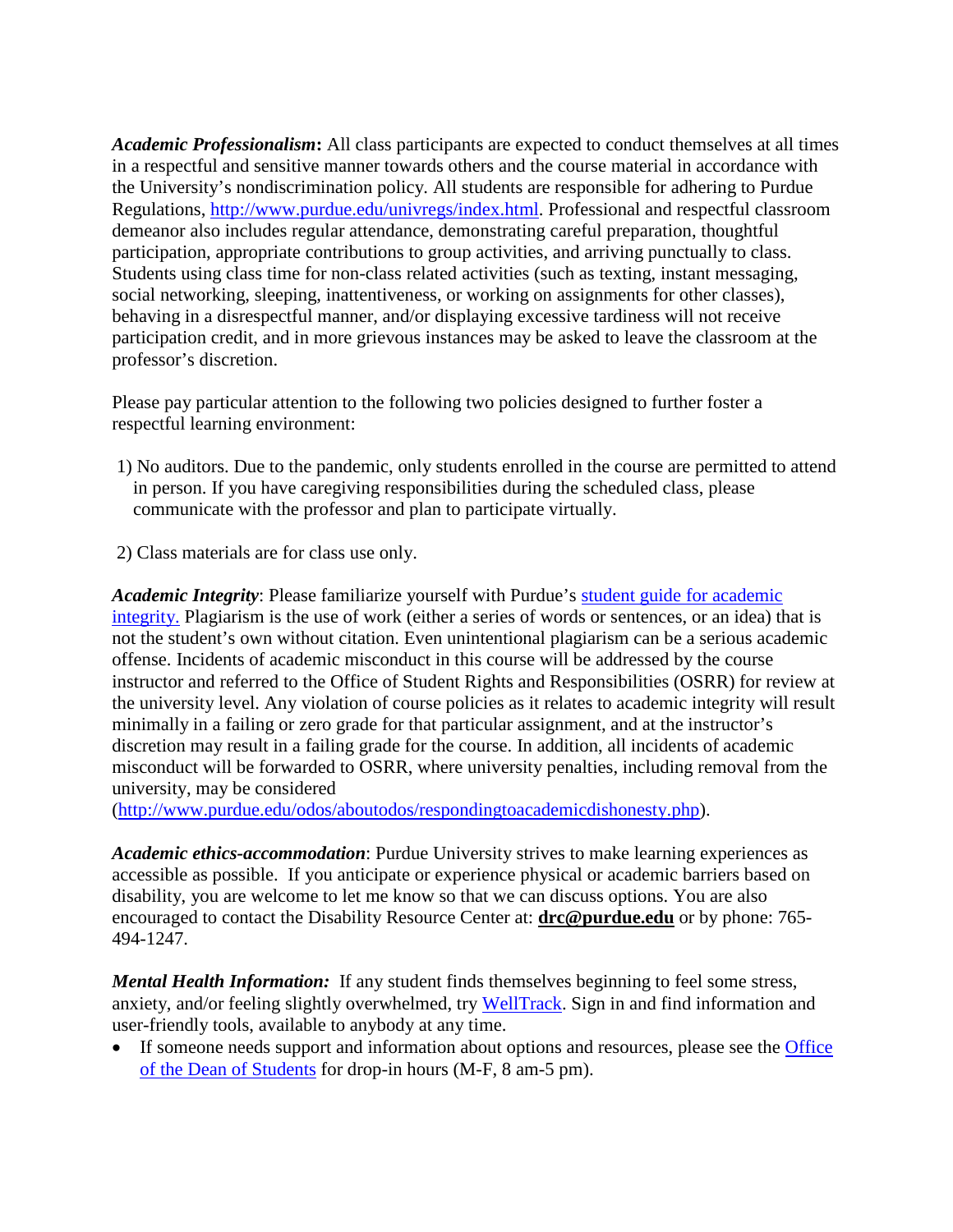*Academic Professionalism***:** All class participants are expected to conduct themselves at all times in a respectful and sensitive manner towards others and the course material in accordance with the University's nondiscrimination policy. All students are responsible for adhering to Purdue Regulations, [http://www.purdue.edu/univregs/index.html.](http://www.purdue.edu/univregs/index.html) Professional and respectful classroom demeanor also includes regular attendance, demonstrating careful preparation, thoughtful participation, appropriate contributions to group activities, and arriving punctually to class. Students using class time for non-class related activities (such as texting, instant messaging, social networking, sleeping, inattentiveness, or working on assignments for other classes), behaving in a disrespectful manner, and/or displaying excessive tardiness will not receive participation credit, and in more grievous instances may be asked to leave the classroom at the professor's discretion.

Please pay particular attention to the following two policies designed to further foster a respectful learning environment:

- 1) No auditors. Due to the pandemic, only students enrolled in the course are permitted to attend in person. If you have caregiving responsibilities during the scheduled class, please communicate with the professor and plan to participate virtually.
- 2) Class materials are for class use only.

Academic Integrity: Please familiarize yourself with Purdue's student guide for academic [integrity.](https://www.purdue.edu/odos/osrr/academic-integrity/index.html) Plagiarism is the use of work (either a series of words or sentences, or an idea) that is not the student's own without citation. Even unintentional plagiarism can be a serious academic offense. Incidents of academic misconduct in this course will be addressed by the course instructor and referred to the Office of Student Rights and Responsibilities (OSRR) for review at the university level. Any violation of course policies as it relates to academic integrity will result minimally in a failing or zero grade for that particular assignment, and at the instructor's discretion may result in a failing grade for the course. In addition, all incidents of academic misconduct will be forwarded to OSRR, where university penalties, including removal from the university, may be considered

[\(http://www.purdue.edu/odos/aboutodos/respondingtoacademicdishonesty.php\)](http://www.purdue.edu/odos/aboutodos/respondingtoacademicdishonesty.php).

*Academic ethics-accommodation*: Purdue University strives to make learning experiences as accessible as possible. If you anticipate or experience physical or academic barriers based on disability, you are welcome to let me know so that we can discuss options. You are also encouraged to contact the Disability Resource Center at: **[drc@purdue.edu](mailto:drc@purdue.edu)** or by phone: 765- 494-1247.

*Mental Health Information:* If any student finds themselves beginning to feel some stress, anxiety, and/or feeling slightly overwhelmed, try [WellTrack.](https://purdue.welltrack.com/) Sign in and find information and user-friendly tools, available to anybody at any time.

• If someone needs support and information about options and resources, please see the **Office** [of the Dean of Students](http://www.purdue.edu/odos) for drop-in hours (M-F, 8 am-5 pm).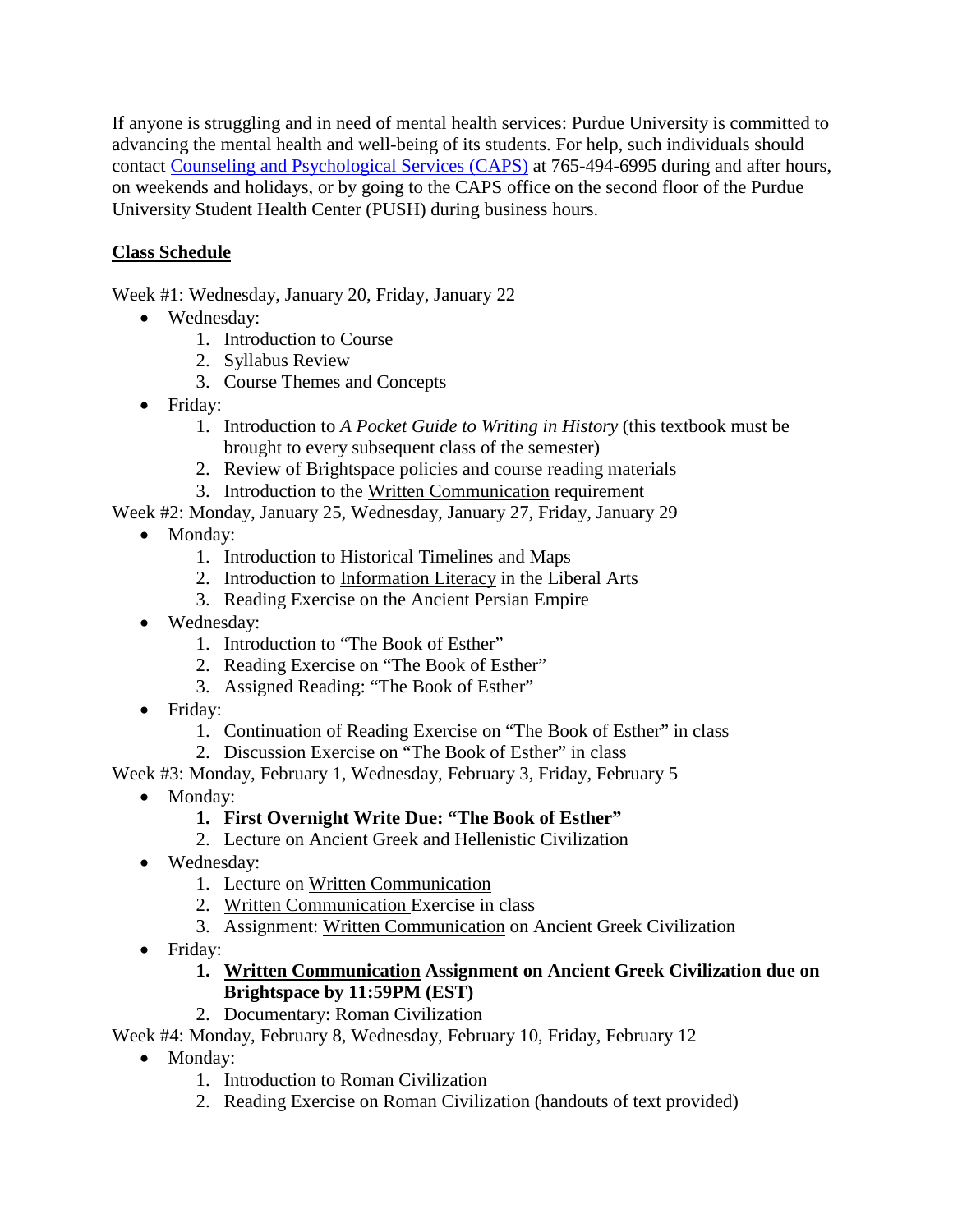If anyone is struggling and in need of mental health services: Purdue University is committed to advancing the mental health and well-being of its students. For help, such individuals should contact [Counseling and Psychological Services \(CAPS\)](https://www.purdue.edu/caps/) at 765-494-6995 during and after hours, on weekends and holidays, or by going to the CAPS office on the second floor of the Purdue University Student Health Center (PUSH) during business hours.

# **Class Schedule**

Week #1: Wednesday, January 20, Friday, January 22

- Wednesday:
	- 1. Introduction to Course
	- 2. Syllabus Review
	- 3. Course Themes and Concepts
- Friday:
	- 1. Introduction to *A Pocket Guide to Writing in History* (this textbook must be brought to every subsequent class of the semester)
	- 2. Review of Brightspace policies and course reading materials
	- 3. Introduction to the Written Communication requirement

Week #2: Monday, January 25, Wednesday, January 27, Friday, January 29

- Monday:
	- 1. Introduction to Historical Timelines and Maps
	- 2. Introduction to Information Literacy in the Liberal Arts
	- 3. Reading Exercise on the Ancient Persian Empire
- Wednesday:
	- 1. Introduction to "The Book of Esther"
	- 2. Reading Exercise on "The Book of Esther"
	- 3. Assigned Reading: "The Book of Esther"
- Friday:
	- 1. Continuation of Reading Exercise on "The Book of Esther" in class
	- 2. Discussion Exercise on "The Book of Esther" in class

Week #3: Monday, February 1, Wednesday, February 3, Friday, February 5

• Monday:

# **1. First Overnight Write Due: "The Book of Esther"**

- 2. Lecture on Ancient Greek and Hellenistic Civilization
- Wednesday:
	- 1. Lecture on Written Communication
	- 2. Written Communication Exercise in class
	- 3. Assignment: Written Communication on Ancient Greek Civilization
- Friday:

### **1. Written Communication Assignment on Ancient Greek Civilization due on Brightspace by 11:59PM (EST)**

2. Documentary: Roman Civilization

## Week #4: Monday, February 8, Wednesday, February 10, Friday, February 12

- Monday:
	- 1. Introduction to Roman Civilization
	- 2. Reading Exercise on Roman Civilization (handouts of text provided)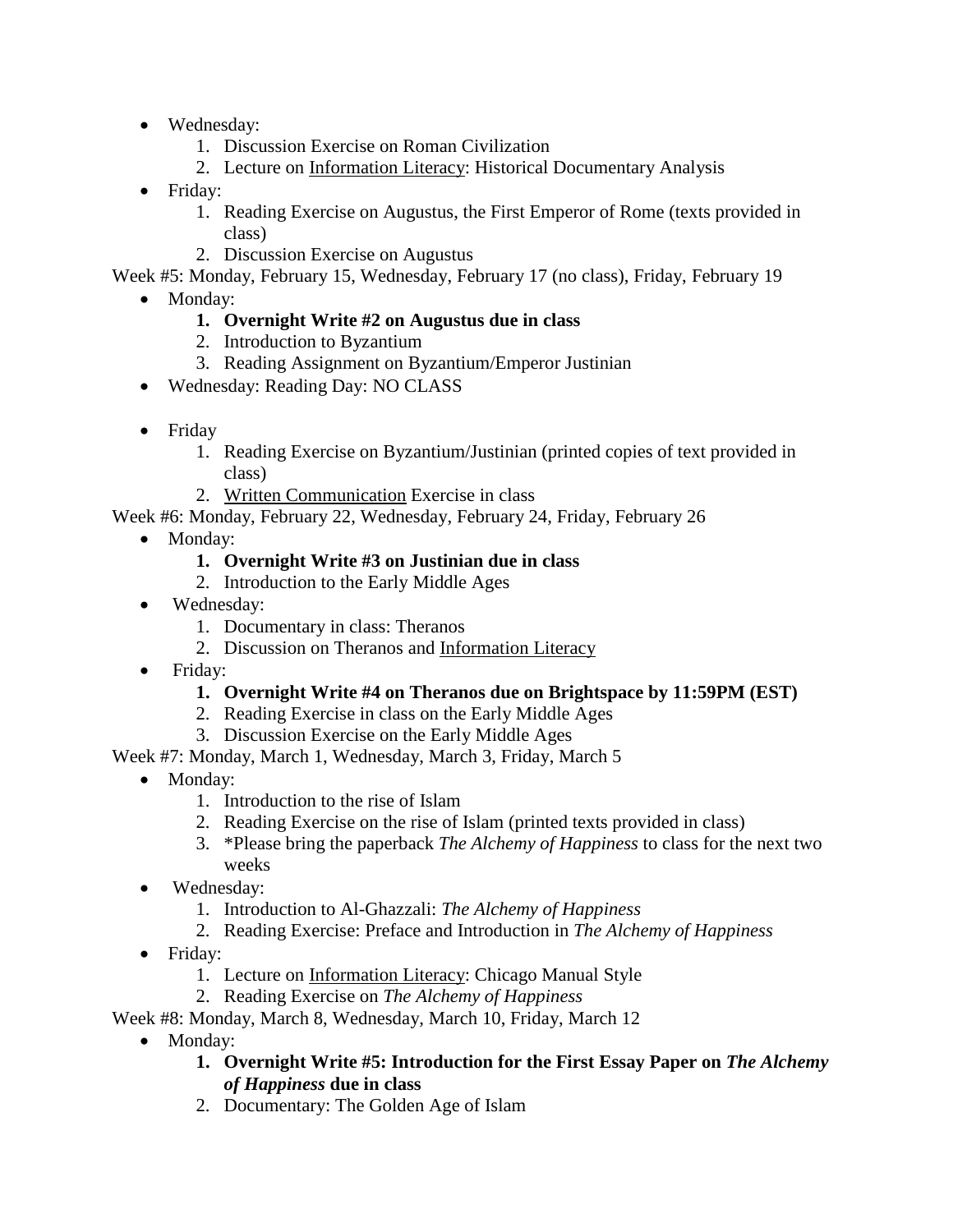- Wednesday:
	- 1. Discussion Exercise on Roman Civilization
	- 2. Lecture on Information Literacy: Historical Documentary Analysis
- Friday:
	- 1. Reading Exercise on Augustus, the First Emperor of Rome (texts provided in class)
	- 2. Discussion Exercise on Augustus

Week #5: Monday, February 15, Wednesday, February 17 (no class), Friday, February 19

- Monday:
	- **1. Overnight Write #2 on Augustus due in class**
	- 2. Introduction to Byzantium
	- 3. Reading Assignment on Byzantium/Emperor Justinian
- Wednesday: Reading Day: NO CLASS
- Friday
	- 1. Reading Exercise on Byzantium/Justinian (printed copies of text provided in class)
	- 2. Written Communication Exercise in class

Week #6: Monday, February 22, Wednesday, February 24, Friday, February 26

- Monday:
	- **1. Overnight Write #3 on Justinian due in class**
	- 2. Introduction to the Early Middle Ages
- Wednesday:
	- 1. Documentary in class: Theranos
	- 2. Discussion on Theranos and Information Literacy
- Friday:
	- **1. Overnight Write #4 on Theranos due on Brightspace by 11:59PM (EST)**
	- 2. Reading Exercise in class on the Early Middle Ages
	- 3. Discussion Exercise on the Early Middle Ages

Week #7: Monday, March 1, Wednesday, March 3, Friday, March 5

- Monday:
	- 1. Introduction to the rise of Islam
	- 2. Reading Exercise on the rise of Islam (printed texts provided in class)
	- 3. \*Please bring the paperback *The Alchemy of Happiness* to class for the next two weeks
- Wednesday:
	- 1. Introduction to Al-Ghazzali: *The Alchemy of Happiness*
	- 2. Reading Exercise: Preface and Introduction in *The Alchemy of Happiness*
- Friday:
	- 1. Lecture on Information Literacy: Chicago Manual Style
	- 2. Reading Exercise on *The Alchemy of Happiness*

Week #8: Monday, March 8, Wednesday, March 10, Friday, March 12

- Monday:
	- **1. Overnight Write #5: Introduction for the First Essay Paper on** *The Alchemy of Happiness* **due in class**
	- 2. Documentary: The Golden Age of Islam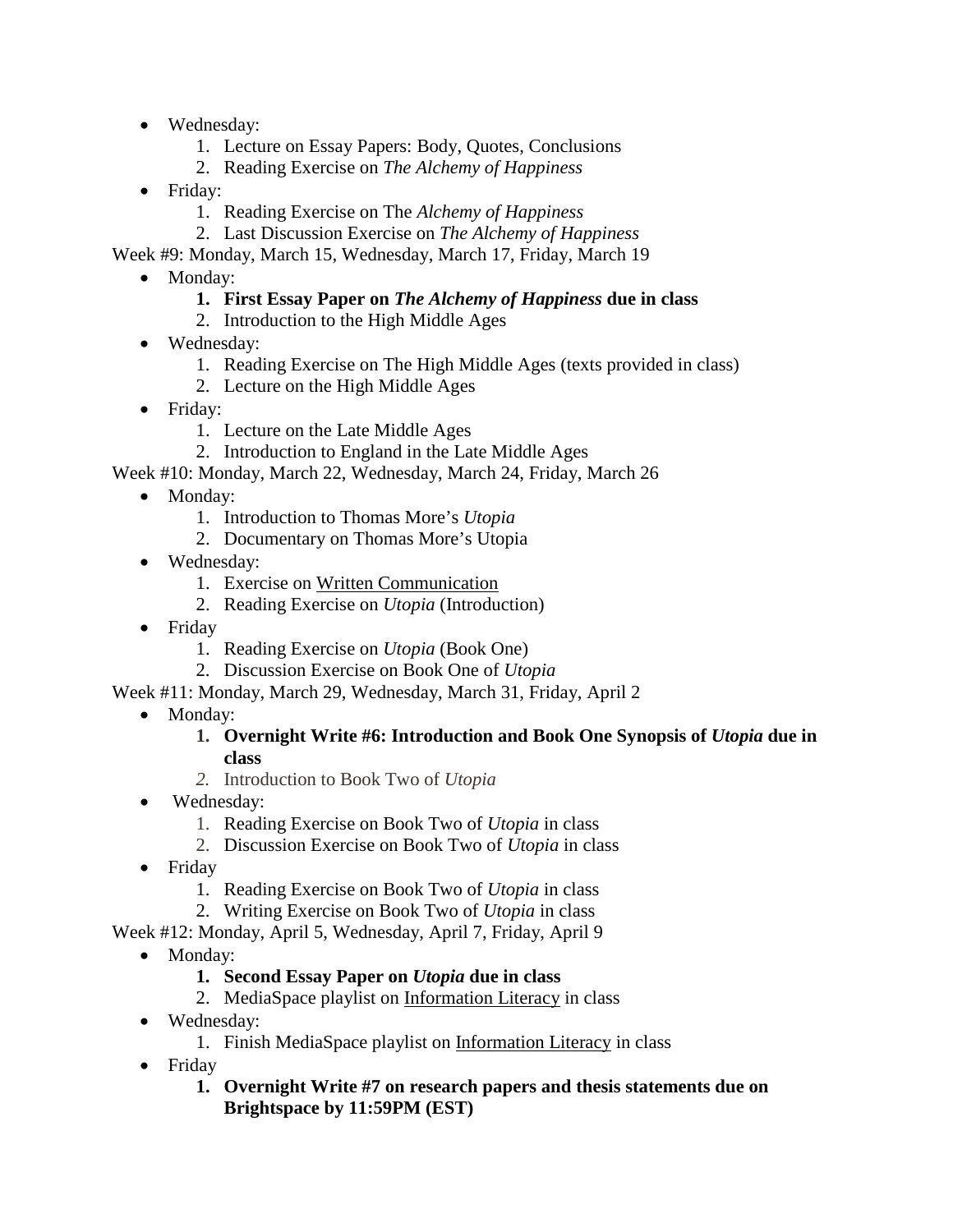- Wednesday:
	- 1. Lecture on Essay Papers: Body, Quotes, Conclusions
	- 2. Reading Exercise on *The Alchemy of Happiness*
- Friday:
	- 1. Reading Exercise on The *Alchemy of Happiness*
	- 2. Last Discussion Exercise on *The Alchemy of Happiness*
- Week #9: Monday, March 15, Wednesday, March 17, Friday, March 19
	- Monday:
		- **1. First Essay Paper on** *The Alchemy of Happiness* **due in class**
		- 2. Introduction to the High Middle Ages
	- Wednesday:
		- 1. Reading Exercise on The High Middle Ages (texts provided in class)
		- 2. Lecture on the High Middle Ages
	- Friday:
		- 1. Lecture on the Late Middle Ages
		- 2. Introduction to England in the Late Middle Ages
- Week #10: Monday, March 22, Wednesday, March 24, Friday, March 26
	- Monday:
		- 1. Introduction to Thomas More's *Utopia*
		- 2. Documentary on Thomas More's Utopia
	- Wednesday:
		- 1. Exercise on Written Communication
		- 2. Reading Exercise on *Utopia* (Introduction)
	- Friday
		- 1. Reading Exercise on *Utopia* (Book One)
		- 2. Discussion Exercise on Book One of *Utopia*
- Week #11: Monday, March 29, Wednesday, March 31, Friday, April 2
	- Monday:
		- **1. Overnight Write #6: Introduction and Book One Synopsis of** *Utopia* **due in class**
		- *2.* Introduction to Book Two of *Utopia*
	- Wednesday:
		- 1. Reading Exercise on Book Two of *Utopia* in class
		- 2. Discussion Exercise on Book Two of *Utopia* in class
	- Friday
		- 1. Reading Exercise on Book Two of *Utopia* in class
		- 2. Writing Exercise on Book Two of *Utopia* in class

Week #12: Monday, April 5, Wednesday, April 7, Friday, April 9

• Monday:

## **1. Second Essay Paper on** *Utopia* **due in class**

- 2. MediaSpace playlist on Information Literacy in class
- Wednesday:
	- 1. Finish MediaSpace playlist on Information Literacy in class
- Friday
	- **1. Overnight Write #7 on research papers and thesis statements due on Brightspace by 11:59PM (EST)**